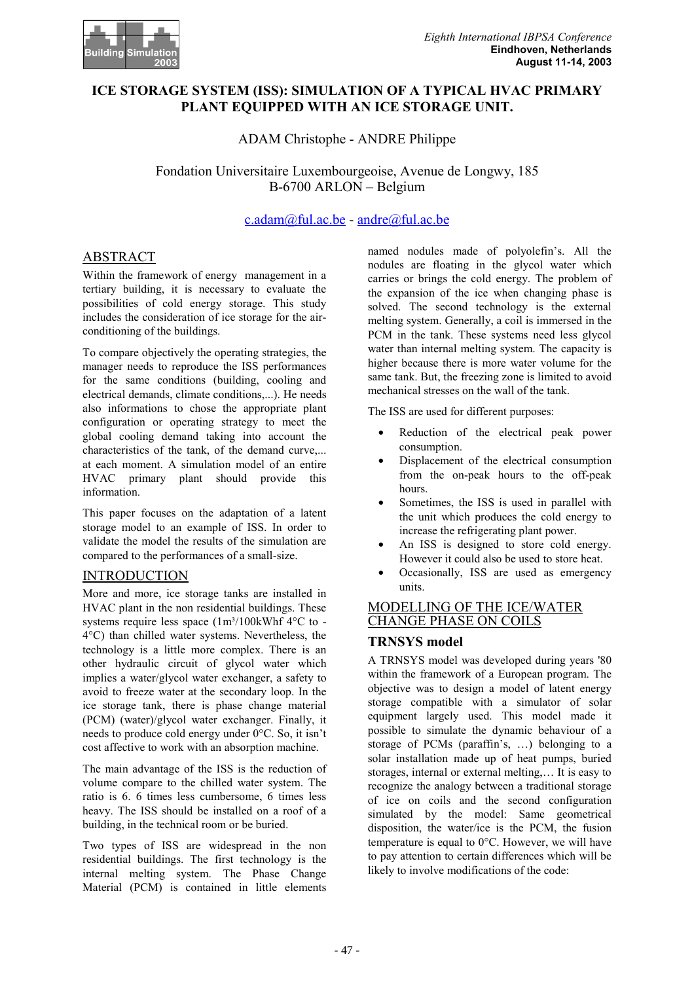

# **ICE STORAGE SYSTEM (ISS): SIMULATION OF A TYPICAL HVAC PRIMARY PLANT EQUIPPED WITH AN ICE STORAGE UNIT.**

ADAM Christophe - ANDRE Philippe

Fondation Universitaire Luxembourgeoise, Avenue de Longwy, 185 B-6700 ARLON – Belgium

c.adam@ful.ac.be - andre@ful.ac.be

# ABSTRACT

Within the framework of energy management in a tertiary building, it is necessary to evaluate the possibilities of cold energy storage. This study includes the consideration of ice storage for the airconditioning of the buildings.

To compare objectively the operating strategies, the manager needs to reproduce the ISS performances for the same conditions (building, cooling and electrical demands, climate conditions,...). He needs also informations to chose the appropriate plant configuration or operating strategy to meet the global cooling demand taking into account the characteristics of the tank, of the demand curve,... at each moment. A simulation model of an entire HVAC primary plant should provide this information.

This paper focuses on the adaptation of a latent storage model to an example of ISS. In order to validate the model the results of the simulation are compared to the performances of a small-size.

### INTRODUCTION

More and more, ice storage tanks are installed in HVAC plant in the non residential buildings. These systems require less space  $(1m<sup>3</sup>/100kWhf 4°C$  to -4°C) than chilled water systems. Nevertheless, the technology is a little more complex. There is an other hydraulic circuit of glycol water which implies a water/glycol water exchanger, a safety to avoid to freeze water at the secondary loop. In the ice storage tank, there is phase change material (PCM) (water)/glycol water exchanger. Finally, it needs to produce cold energy under 0°C. So, it isn't cost affective to work with an absorption machine.

The main advantage of the ISS is the reduction of volume compare to the chilled water system. The ratio is 6. 6 times less cumbersome, 6 times less heavy. The ISS should be installed on a roof of a building, in the technical room or be buried.

Two types of ISS are widespread in the non residential buildings. The first technology is the internal melting system. The Phase Change Material (PCM) is contained in little elements

named nodules made of polyolefin's. All the nodules are floating in the glycol water which carries or brings the cold energy. The problem of the expansion of the ice when changing phase is solved. The second technology is the external melting system. Generally, a coil is immersed in the PCM in the tank. These systems need less glycol water than internal melting system. The capacity is higher because there is more water volume for the same tank. But, the freezing zone is limited to avoid mechanical stresses on the wall of the tank.

The ISS are used for different purposes:

- Reduction of the electrical peak power consumption.
- Displacement of the electrical consumption from the on-peak hours to the off-peak hours.
- Sometimes, the ISS is used in parallel with the unit which produces the cold energy to increase the refrigerating plant power.
- An ISS is designed to store cold energy. However it could also be used to store heat.
- Occasionally, ISS are used as emergency units.

### MODELLING OF THE ICE/WATER CHANGE PHASE ON COILS

### **TRNSYS model**

A TRNSYS model was developed during years '80 within the framework of a European program. The objective was to design a model of latent energy storage compatible with a simulator of solar equipment largely used. This model made it possible to simulate the dynamic behaviour of a storage of PCMs (paraffin's, …) belonging to a solar installation made up of heat pumps, buried storages, internal or external melting,… It is easy to recognize the analogy between a traditional storage of ice on coils and the second configuration simulated by the model: Same geometrical disposition, the water/ice is the PCM, the fusion temperature is equal to  $0^{\circ}$ C. However, we will have to pay attention to certain differences which will be likely to involve modifications of the code: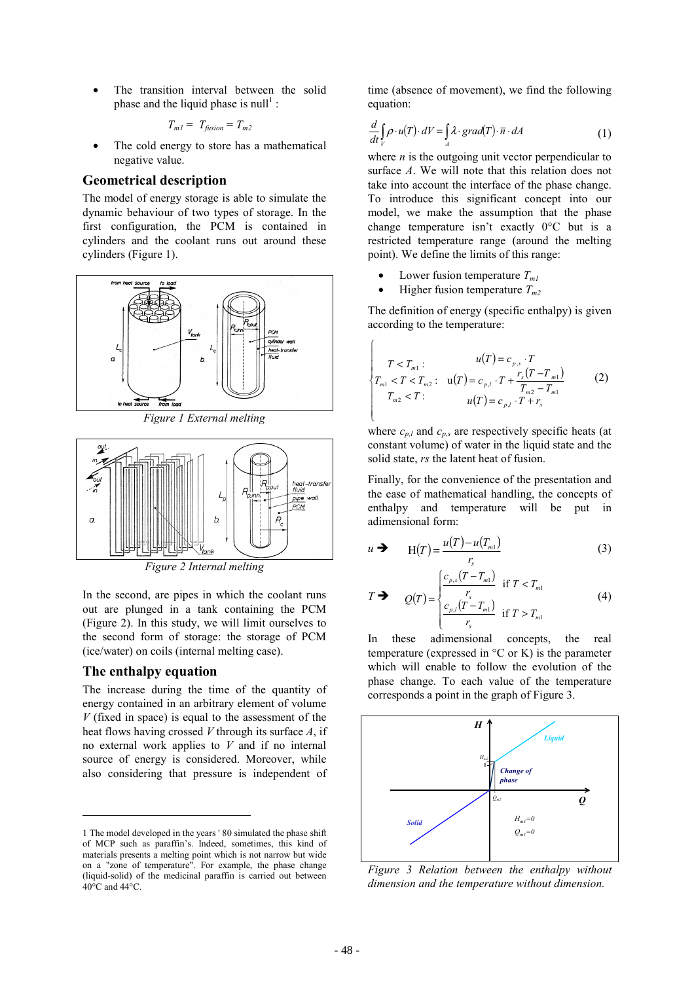The transition interval between the solid phase and the liquid phase is null<sup>1</sup>:

$$
T_{ml} = T_{fusion} = T_{m2}
$$

The cold energy to store has a mathematical negative value.

#### **Geometrical description**

The model of energy storage is able to simulate the dynamic behaviour of two types of storage. In the first configuration, the PCM is contained in cylinders and the coolant runs out around these cylinders (Figure 1).



*Figure 1 External melting* 



*Figure 2 Internal melting* 

In the second, are pipes in which the coolant runs out are plunged in a tank containing the PCM (Figure 2). In this study, we will limit ourselves to the second form of storage: the storage of PCM (ice/water) on coils (internal melting case).

#### **The enthalpy equation**

l

The increase during the time of the quantity of energy contained in an arbitrary element of volume *V* (fixed in space) is equal to the assessment of the heat flows having crossed *V* through its surface *A*, if no external work applies to *V* and if no internal source of energy is considered. Moreover, while also considering that pressure is independent of time (absence of movement), we find the following equation:

$$
\frac{d}{dt}\int_{V} \rho \cdot u(T) \cdot dV = \int_{A} \lambda \cdot grad(T) \cdot \overline{n} \cdot dA \tag{1}
$$

where  $n$  is the outgoing unit vector perpendicular to surface *A*. We will note that this relation does not take into account the interface of the phase change. To introduce this significant concept into our model, we make the assumption that the phase change temperature isn't exactly 0°C but is a restricted temperature range (around the melting point). We define the limits of this range:

- Lower fusion temperature  $T_{ml}$
- Higher fusion temperature  $T_{m2}$

 $\sqrt{ }$ 

The definition of energy (specific enthalpy) is given according to the temperature:

$$
T < T_{m1} : u(T) = c_{p,s} \cdot T
$$
  
\n
$$
T_{m1} < T < T_{m2} : u(T) = c_{p,l} \cdot T + \frac{r_s (T - T_{m1})}{T_{m2} - T_{m1}}
$$
  
\n
$$
T_{m2} < T : u(T) = c_{p,l} \cdot T + r_s
$$
 (2)

where  $c_{p,l}$  and  $c_{p,s}$  are respectively specific heats (at constant volume) of water in the liquid state and the solid state, *rs* the latent heat of fusion.

Finally, for the convenience of the presentation and the ease of mathematical handling, the concepts of enthalpy and temperature will be put in adimensional form:

$$
u \rightarrow H(T) = \frac{u(T) - u(T_{m1})}{r_s}
$$
 (3)

$$
T \rightarrow Q(T) = \begin{cases} \frac{c_{p,s}(T - T_{m1})}{r_s} & \text{if } T < T_{m1} \\ \frac{c_{p,l}(T - T_{m1})}{r_s} & \text{if } T > T_{m1} \end{cases}
$$
(4)

In these adimensional concepts, the real temperature (expressed in  ${}^{\circ}$ C or K) is the parameter which will enable to follow the evolution of the phase change. To each value of the temperature corresponds a point in the graph of Figure 3.



*Figure 3 Relation between the enthalpy without dimension and the temperature without dimension.* 

<sup>1</sup> The model developed in the years ' 80 simulated the phase shift of MCP such as paraffin's. Indeed, sometimes, this kind of materials presents a melting point which is not narrow but wide on a "zone of temperature". For example, the phase change (liquid-solid) of the medicinal paraffin is carried out between 40°C and 44°C.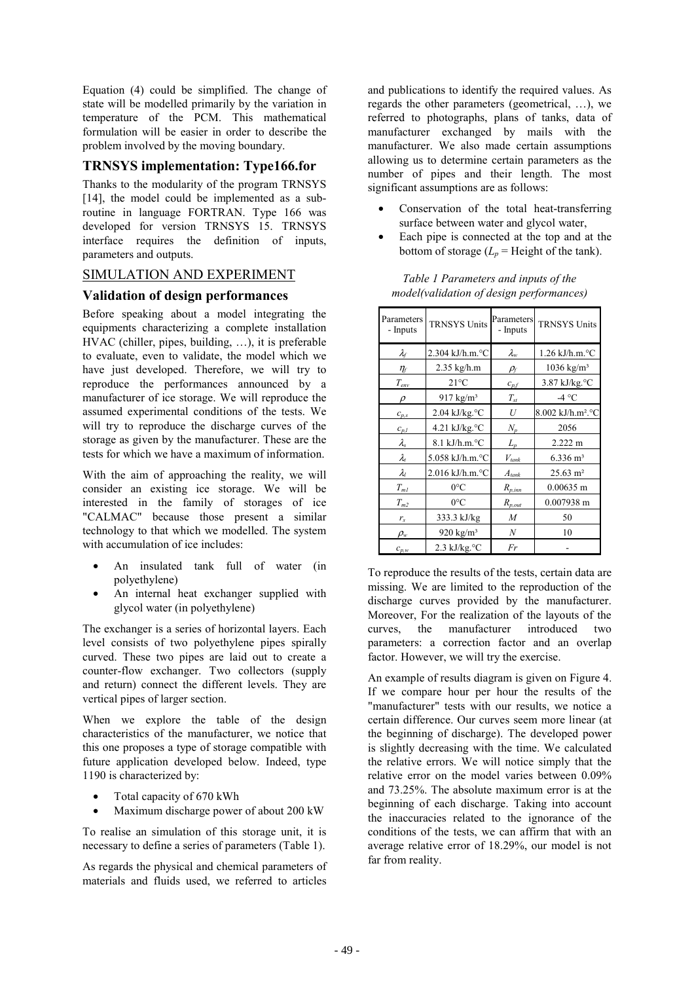Equation (4) could be simplified. The change of state will be modelled primarily by the variation in temperature of the PCM. This mathematical formulation will be easier in order to describe the problem involved by the moving boundary.

### **TRNSYS implementation: Type166.for**

Thanks to the modularity of the program TRNSYS [14], the model could be implemented as a subroutine in language FORTRAN. Type 166 was developed for version TRNSYS 15. TRNSYS interface requires the definition of inputs, parameters and outputs.

### SIMULATION AND EXPERIMENT

### **Validation of design performances**

Before speaking about a model integrating the equipments characterizing a complete installation HVAC (chiller, pipes, building, …), it is preferable to evaluate, even to validate, the model which we have just developed. Therefore, we will try to reproduce the performances announced by a manufacturer of ice storage. We will reproduce the assumed experimental conditions of the tests. We will try to reproduce the discharge curves of the storage as given by the manufacturer. These are the tests for which we have a maximum of information.

With the aim of approaching the reality, we will consider an existing ice storage. We will be interested in the family of storages of ice "CALMAC" because those present a similar technology to that which we modelled. The system with accumulation of ice includes:

- An insulated tank full of water (in polyethylene)
- An internal heat exchanger supplied with glycol water (in polyethylene)

The exchanger is a series of horizontal layers. Each level consists of two polyethylene pipes spirally curved. These two pipes are laid out to create a counter-flow exchanger. Two collectors (supply and return) connect the different levels. They are vertical pipes of larger section.

When we explore the table of the design characteristics of the manufacturer, we notice that this one proposes a type of storage compatible with future application developed below. Indeed, type 1190 is characterized by:

- Total capacity of 670 kWh
- Maximum discharge power of about 200 kW

To realise an simulation of this storage unit, it is necessary to define a series of parameters (Table 1).

As regards the physical and chemical parameters of materials and fluids used, we referred to articles

and publications to identify the required values. As regards the other parameters (geometrical, …), we referred to photographs, plans of tanks, data of manufacturer exchanged by mails with the manufacturer. We also made certain assumptions allowing us to determine certain parameters as the number of pipes and their length. The most significant assumptions are as follows:

- Conservation of the total heat-transferring surface between water and glycol water,
- Each pipe is connected at the top and at the bottom of storage  $(L_p =$  Height of the tank).

| Parameters<br>- Inputs        | <b>TRNSYS Units</b>             | Parameters<br>- Inputs          | <b>TRNSYS Units</b>           |
|-------------------------------|---------------------------------|---------------------------------|-------------------------------|
| $\lambda_f$                   | 2.304 kJ/h.m.°C                 | $\lambda_{\rm w}$               | 1.26 kJ/h.m.°C                |
| $\eta_{\scriptscriptstyle f}$ | 2.35 kg/h.m                     | $\rho_{\scriptscriptstyle\! f}$ | $1036 \text{ kg/m}^3$         |
| $T_{env}$                     | $21^{\circ}$ C                  | $c_{p,f}$                       | 3.87 kJ/kg.°C                 |
| $\mathcal{D}$                 | $917 \text{ kg/m}^3$            | $T_{\mathfrak s\mathfrak t}$    | -4 °C                         |
| $c_{p,s}$                     | $2.04$ kJ/kg. $°C$              | U                               | 8.002 kJ/h.m <sup>2</sup> .°C |
| $C_{p,l}$                     | 4.21 kJ/kg.°C                   | $N_p$                           | 2056                          |
| $\lambda_{\rm s}$             | $8.1 \text{ kJ/h.m.}^{\circ}$ C | $L_p$                           | $2.222 \text{ m}$             |
| $\lambda_{t}$                 | $5.058$ kJ/h.m. $°C$            | $V_{\text{tank}}$               | $6.336 \; \mathrm{m}^3$       |
| $\lambda_{l}$                 | $2.016$ kJ/h.m. $\degree$ C     | $A_{\text{tank}}$               | $25.63 \text{ m}^2$           |
| $T_{ml}$                      | $0^{\circ}C$                    | $R_{p,inn}$                     | $0.00635$ m                   |
| $T_{m2}$                      | $0^{\circ}C$                    | $R_{p,out}$                     | 0.007938 m                    |
| $r_{s}$                       | 333.3 kJ/kg                     | $\boldsymbol{M}$                | 50                            |
| $\rho_{\scriptscriptstyle W}$ | 920 kg/ $m3$                    | $\boldsymbol{N}$                | 10                            |
| $c_{p,w}$                     | $2.3$ kJ/kg. $\degree$ C        | Fr                              |                               |

*Table 1 Parameters and inputs of the model(validation of design performances)* 

To reproduce the results of the tests, certain data are missing. We are limited to the reproduction of the discharge curves provided by the manufacturer. Moreover, For the realization of the layouts of the curves, the manufacturer introduced two parameters: a correction factor and an overlap factor. However, we will try the exercise.

An example of results diagram is given on Figure 4. If we compare hour per hour the results of the "manufacturer" tests with our results, we notice a certain difference. Our curves seem more linear (at the beginning of discharge). The developed power is slightly decreasing with the time. We calculated the relative errors. We will notice simply that the relative error on the model varies between 0.09% and 73.25%. The absolute maximum error is at the beginning of each discharge. Taking into account the inaccuracies related to the ignorance of the conditions of the tests, we can affirm that with an average relative error of 18.29%, our model is not far from reality.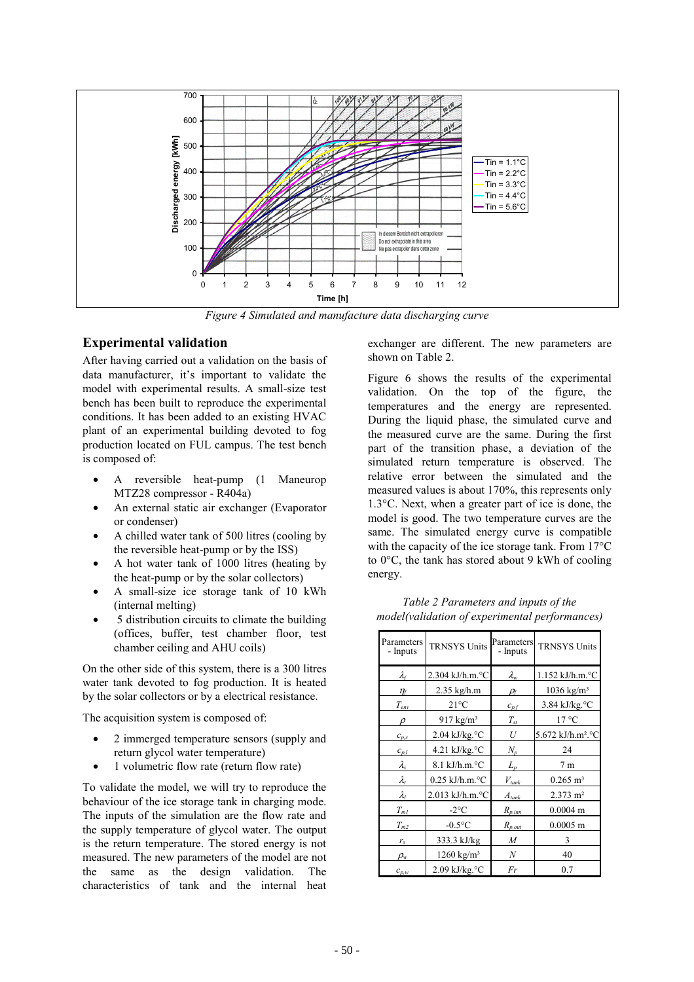

*Figure 4 Simulated and manufacture data discharging curve* 

### **Experimental validation**

After having carried out a validation on the basis of data manufacturer, it's important to validate the model with experimental results. A small-size test bench has been built to reproduce the experimental conditions. It has been added to an existing HVAC plant of an experimental building devoted to fog production located on FUL campus. The test bench is composed of:

- A reversible heat-pump (1 Maneurop MTZ28 compressor - R404a)
- An external static air exchanger (Evaporator or condenser)
- A chilled water tank of 500 litres (cooling by the reversible heat-pump or by the ISS)
- A hot water tank of 1000 litres (heating by the heat-pump or by the solar collectors)
- A small-size ice storage tank of 10 kWh (internal melting)
- 5 distribution circuits to climate the building (offices, buffer, test chamber floor, test chamber ceiling and AHU coils)

On the other side of this system, there is a 300 litres water tank devoted to fog production. It is heated by the solar collectors or by a electrical resistance.

The acquisition system is composed of:

- 2 immerged temperature sensors (supply and return glycol water temperature)
- 1 volumetric flow rate (return flow rate)

To validate the model, we will try to reproduce the behaviour of the ice storage tank in charging mode. The inputs of the simulation are the flow rate and the supply temperature of glycol water. The output is the return temperature. The stored energy is not measured. The new parameters of the model are not the same as the design validation. The characteristics of tank and the internal heat exchanger are different. The new parameters are shown on Table 2.

Figure 6 shows the results of the experimental validation. On the top of the figure, the temperatures and the energy are represented. During the liquid phase, the simulated curve and the measured curve are the same. During the first part of the transition phase, a deviation of the simulated return temperature is observed. The relative error between the simulated and the measured values is about 170%, this represents only 1.3°C. Next, when a greater part of ice is done, the model is good. The two temperature curves are the same. The simulated energy curve is compatible with the capacity of the ice storage tank. From 17°C to 0°C, the tank has stored about 9 kWh of cooling energy.

| Parameters<br>- Inputs        | <b>TRNSYS Units</b>                   | Parameters<br>- Inputs | <b>TRNSYS Units</b>           |
|-------------------------------|---------------------------------------|------------------------|-------------------------------|
| $\lambda_{\text{f}}$          | $2.304$ kJ/h.m. $\degree$ C           | $\lambda_{\rm w}$      | $1.152$ kJ/h.m. $\degree$ C   |
| $\eta_{\scriptscriptstyle f}$ | $2.35$ kg/h.m                         | Рf                     | $1036 \text{ kg/m}^3$         |
| $T_{\it env}$                 | $21^{\circ}$ C                        | $C_{p,f}$              | 3.84 kJ/kg.°C                 |
| $\mathcal{D}$                 | 917 $kg/m3$                           | $T_{\rm st}$           | $17^{\circ}$ C                |
| $c_{p,s}$                     | $2.04$ kJ/kg. $\degree$ C             | U                      | 5.672 kJ/h.m <sup>2</sup> .°C |
| $C_{p,l}$                     | 4.21 kJ/kg. $\rm ^{\circ}C$           | $N_p$                  | 24                            |
| $\lambda_{\rm s}$             | $8.1 \text{ kJ/h.m.}^{\circ}\text{C}$ | $L_p$                  | 7 <sub>m</sub>                |
| $\lambda_{t}$                 | $0.25$ kJ/h.m. $°C$                   | $V_{\mathit{tank}}$    | $0.265 \; \mathrm{m}^3$       |
| $\lambda_l$                   | $2.013$ kJ/h.m. $\degree$ C           | $A_{\text{tank}}$      | $2.373 \text{ m}^2$           |
| $T_{\mathit{m}1}$             | $-2$ °C                               | $R_{p,inn}$            | $0.0004$ m                    |
| $T_{m2}$                      | $-0.5$ °C                             | $R_{p,out}$            | $0.0005$ m                    |
| $r_{\rm s}$                   | 333.3 kJ/kg                           | $\boldsymbol{M}$       | 3                             |
| $\rho_{\scriptscriptstyle W}$ | 1260 $kg/m3$                          | N                      | 40                            |
| $c_{p,w}$                     | $2.09$ kJ/kg. $°C$                    | Fr                     | 0.7                           |

*Table 2 Parameters and inputs of the model(validation of experimental performances)*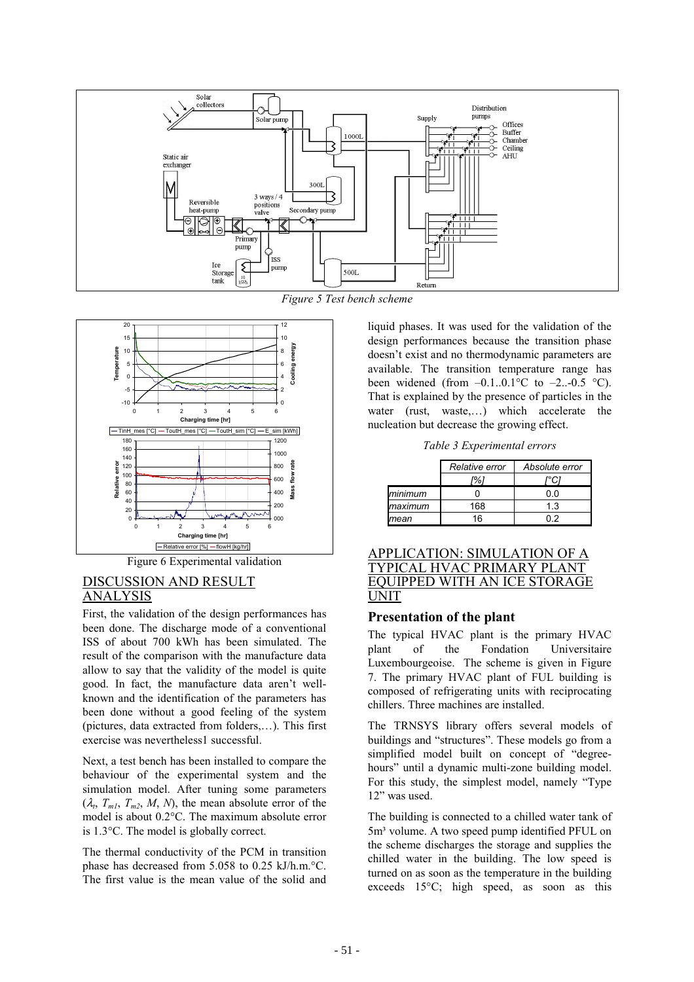

*Figure 5 Test bench scheme*



Figure 6 Experimental validation

### DISCUSSION AND RESULT ANALYSIS

First, the validation of the design performances has been done. The discharge mode of a conventional ISS of about 700 kWh has been simulated. The result of the comparison with the manufacture data allow to say that the validity of the model is quite good. In fact, the manufacture data aren't wellknown and the identification of the parameters has been done without a good feeling of the system (pictures, data extracted from folders,…). This first exercise was nevertheless1 successful.

Next, a test bench has been installed to compare the behaviour of the experimental system and the simulation model. After tuning some parameters  $(\lambda_t, T_{m1}, T_{m2}, M, N)$ , the mean absolute error of the model is about 0.2°C. The maximum absolute error is 1.3°C. The model is globally correct.

The thermal conductivity of the PCM in transition phase has decreased from 5.058 to 0.25 kJ/h.m.°C. The first value is the mean value of the solid and liquid phases. It was used for the validation of the design performances because the transition phase doesn't exist and no thermodynamic parameters are available. The transition temperature range has been widened (from  $-0.1...0.1^{\circ}$ C to  $-2...0.5^{\circ}$ C). That is explained by the presence of particles in the water (rust, waste,…) which accelerate the nucleation but decrease the growing effect.

*Table 3 Experimental errors* 

|         | Relative error | Absolute error |  |
|---------|----------------|----------------|--|
|         | %              |                |  |
| minimum |                | 0.0            |  |
| maximum | 168            | 13             |  |
| mean    | 16             | በ 2            |  |

#### APPLICATION: SIMULATION OF A TYPICAL HVAC PRIMARY PLANT EQUIPPED WITH AN ICE STORAGE UNIT

### **Presentation of the plant**

The typical HVAC plant is the primary HVAC plant of the Fondation Universitaire Luxembourgeoise. The scheme is given in Figure 7. The primary HVAC plant of FUL building is composed of refrigerating units with reciprocating chillers. Three machines are installed.

The TRNSYS library offers several models of buildings and "structures". These models go from a simplified model built on concept of "degreehours" until a dynamic multi-zone building model. For this study, the simplest model, namely "Type 12" was used.

The building is connected to a chilled water tank of 5m³ volume. A two speed pump identified PFUL on the scheme discharges the storage and supplies the chilled water in the building. The low speed is turned on as soon as the temperature in the building exceeds 15°C; high speed, as soon as this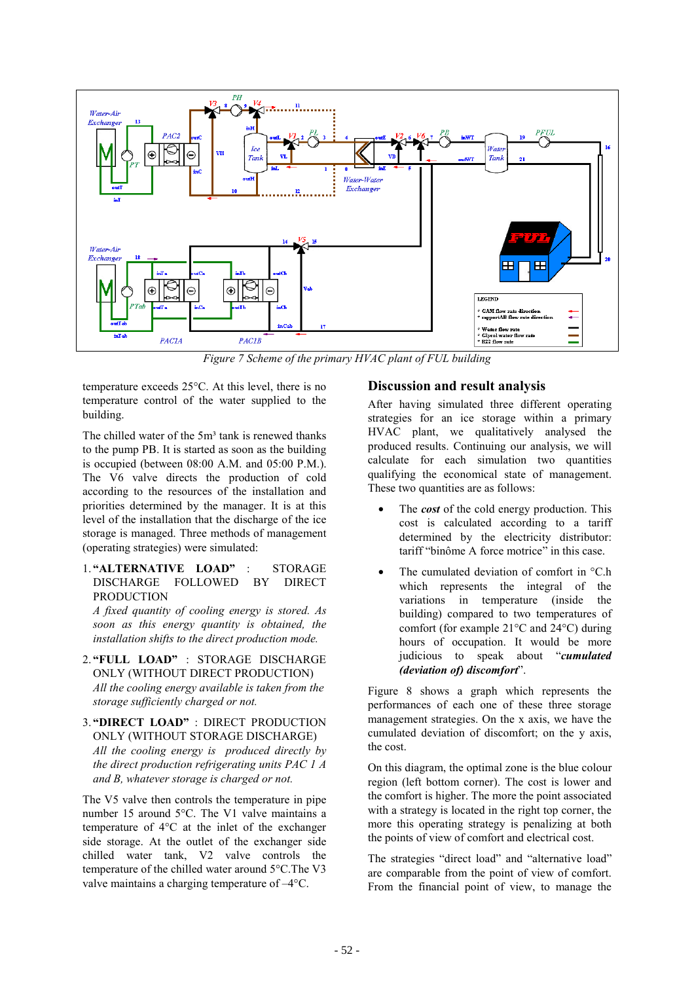

*Figure 7 Scheme of the primary HVAC plant of FUL building*

temperature exceeds 25°C. At this level, there is no temperature control of the water supplied to the building.

The chilled water of the 5m<sup>3</sup> tank is renewed thanks to the pump PB. It is started as soon as the building is occupied (between 08:00 A.M. and 05:00 P.M.). The V6 valve directs the production of cold according to the resources of the installation and priorities determined by the manager. It is at this level of the installation that the discharge of the ice storage is managed. Three methods of management (operating strategies) were simulated:

1. **"ALTERNATIVE LOAD"** : STORAGE DISCHARGE FOLLOWED BY DIRECT PRODUCTION

*A fixed quantity of cooling energy is stored. As soon as this energy quantity is obtained, the installation shifts to the direct production mode.* 

- 2. **"FULL LOAD"** : STORAGE DISCHARGE ONLY (WITHOUT DIRECT PRODUCTION) *All the cooling energy available is taken from the storage sufficiently charged or not.*
- 3. **"DIRECT LOAD"** : DIRECT PRODUCTION ONLY (WITHOUT STORAGE DISCHARGE) *All the cooling energy is produced directly by the direct production refrigerating units PAC 1 A and B, whatever storage is charged or not.*

The V5 valve then controls the temperature in pipe number 15 around 5°C. The V1 valve maintains a temperature of 4°C at the inlet of the exchanger side storage. At the outlet of the exchanger side chilled water tank, V2 valve controls the temperature of the chilled water around 5°C.The V3 valve maintains a charging temperature of –4°C.

# **Discussion and result analysis**

After having simulated three different operating strategies for an ice storage within a primary HVAC plant, we qualitatively analysed the produced results. Continuing our analysis, we will calculate for each simulation two quantities qualifying the economical state of management. These two quantities are as follows:

- The *cost* of the cold energy production. This cost is calculated according to a tariff determined by the electricity distributor: tariff "binôme A force motrice" in this case.
- The cumulated deviation of comfort in °C.h which represents the integral of the variations in temperature (inside the building) compared to two temperatures of comfort (for example 21°C and 24°C) during hours of occupation. It would be more judicious to speak about "*cumulated (deviation of) discomfort*".

Figure 8 shows a graph which represents the performances of each one of these three storage management strategies. On the x axis, we have the cumulated deviation of discomfort; on the y axis, the cost.

On this diagram, the optimal zone is the blue colour region (left bottom corner). The cost is lower and the comfort is higher. The more the point associated with a strategy is located in the right top corner, the more this operating strategy is penalizing at both the points of view of comfort and electrical cost.

The strategies "direct load" and "alternative load" are comparable from the point of view of comfort. From the financial point of view, to manage the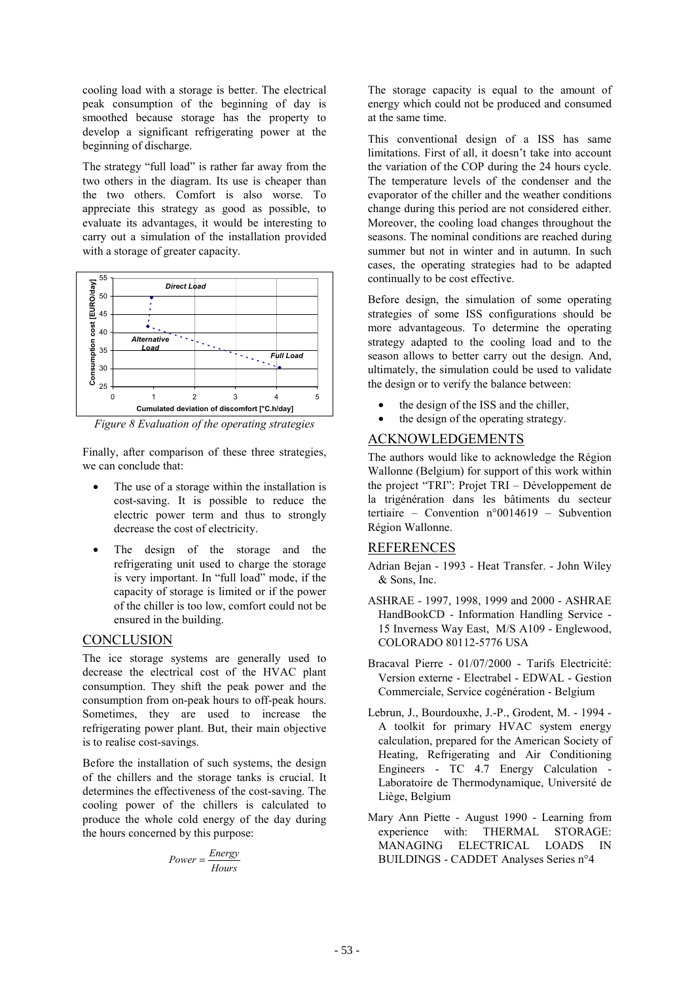cooling load with a storage is better. The electrical peak consumption of the beginning of day is smoothed because storage has the property to develop a significant refrigerating power at the beginning of discharge.

The strategy "full load" is rather far away from the two others in the diagram. Its use is cheaper than the two others. Comfort is also worse. To appreciate this strategy as good as possible, to evaluate its advantages, it would be interesting to carry out a simulation of the installation provided with a storage of greater capacity.



*Figure 8 Evaluation of the operating strategies* 

Finally, after comparison of these three strategies, we can conclude that:

- The use of a storage within the installation is cost-saving. It is possible to reduce the electric power term and thus to strongly decrease the cost of electricity.
- The design of the storage and the refrigerating unit used to charge the storage is very important. In "full load" mode, if the capacity of storage is limited or if the power of the chiller is too low, comfort could not be ensured in the building.

### **CONCLUSION**

The ice storage systems are generally used to decrease the electrical cost of the HVAC plant consumption. They shift the peak power and the consumption from on-peak hours to off-peak hours. Sometimes, they are used to increase the refrigerating power plant. But, their main objective is to realise cost-savings.

Before the installation of such systems, the design of the chillers and the storage tanks is crucial. It determines the effectiveness of the cost-saving. The cooling power of the chillers is calculated to produce the whole cold energy of the day during the hours concerned by this purpose:

$$
Power = \frac{Energy}{Hours}
$$

The storage capacity is equal to the amount of energy which could not be produced and consumed at the same time.

This conventional design of a ISS has same limitations. First of all, it doesn't take into account the variation of the COP during the 24 hours cycle. The temperature levels of the condenser and the evaporator of the chiller and the weather conditions change during this period are not considered either. Moreover, the cooling load changes throughout the seasons. The nominal conditions are reached during summer but not in winter and in autumn. In such cases, the operating strategies had to be adapted continually to be cost effective.

Before design, the simulation of some operating strategies of some ISS configurations should be more advantageous. To determine the operating strategy adapted to the cooling load and to the season allows to better carry out the design. And, ultimately, the simulation could be used to validate the design or to verify the balance between:

- the design of the ISS and the chiller,
- the design of the operating strategy.

### ACKNOWLEDGEMENTS

The authors would like to acknowledge the Région Wallonne (Belgium) for support of this work within the project "TRI": Projet TRI – Développement de la trigénération dans les bâtiments du secteur tertiaire – Convention n°0014619 – Subvention Région Wallonne.

#### REFERENCES

- Adrian Bejan 1993 Heat Transfer. John Wiley & Sons, Inc.
- ASHRAE 1997, 1998, 1999 and 2000 ASHRAE HandBookCD - Information Handling Service - 15 Inverness Way East, M/S A109 - Englewood, COLORADO 80112-5776 USA
- Bracaval Pierre 01/07/2000 Tarifs Electricité: Version externe - Electrabel - EDWAL - Gestion Commerciale, Service cogénération - Belgium
- Lebrun, J., Bourdouxhe, J.-P., Grodent, M. 1994 A toolkit for primary HVAC system energy calculation, prepared for the American Society of Heating, Refrigerating and Air Conditioning Engineers - TC 4.7 Energy Calculation - Laboratoire de Thermodynamique, Université de Liège, Belgium
- Mary Ann Piette August 1990 Learning from experience with: THERMAL STORAGE: MANAGING ELECTRICAL LOADS IN BUILDINGS - CADDET Analyses Series n°4